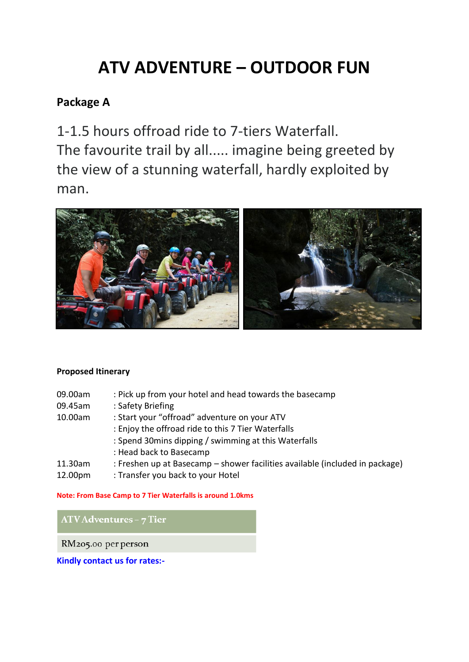# **ATV ADVENTURE – OUTDOOR FUN**

## **Package A**

1-1.5 hours offroad ride to 7-tiers Waterfall. The favourite trail by all..... imagine being greeted by the view of a stunning waterfall, hardly exploited by man.



#### **Proposed Itinerary**

- 09.00am : Pick up from your hotel and head towards the basecamp
- 09.45am : Safety Briefing
- 10.00am : Start your "offroad" adventure on your ATV
	- : Enjoy the offroad ride to this 7 Tier Waterfalls
	- : Spend 30mins dipping / swimming at this Waterfalls
	- : Head back to Basecamp
- 11.30am : Freshen up at Basecamp shower facilities available (included in package)
- 12.00pm : Transfer you back to your Hotel

**Note: From Base Camp to 7 Tier Waterfalls is around 1.0kms**

ATV Adventures - 7 Tier

RM205.00 per person

**Kindly contact us for rates:-**